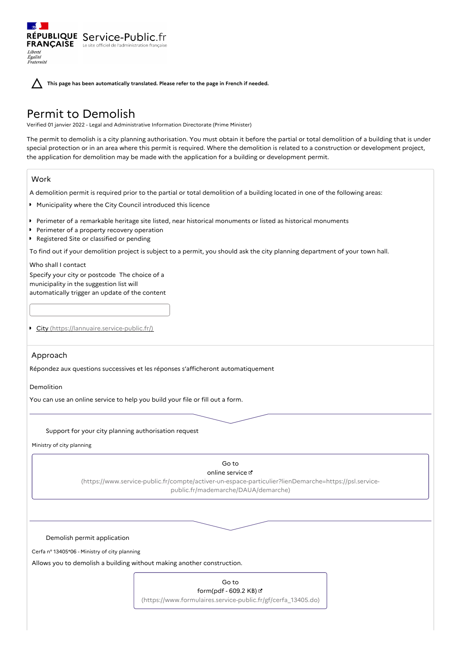**This page has been automatically translated. Please refer to the page in French if needed.**

# Permit to Demolish

RÉPUBLIQUE Service-Public.fr **FRANÇAISE** Le site officiel de l'administration fran

Verified 01 janvier 2022 - Legal and Administrative Information Directorate (Prime Minister)

The permit to demolish is a city planning authorisation. You must obtain it before the partial or total demolition of a building that is under special protection or in an area where this permit is required. Where the demolition is related to a construction or development project, the application for demolition may be made with the application for a building or development permit.

# Work

Liberté Égalité<br>Fraternité

A demolition permit is required prior to the partial or total demolition of a building located in one of the following areas:

- Municipality where the City Council introduced this licence
- Perimeter of a remarkable heritage site listed, near historical monuments or listed as historical monuments
- Perimeter of a property recovery operation  $\blacksquare$
- **P** Registered Site or classified or pending

To find out if your demolition project is subject to a permit, you should ask the city planning department of your town hall.

## Who shall I contact

Specify your city or postcode The choice of a municipality in the suggestion list will automatically trigger an update of the content

City [\(https://lannuaire.service-public.fr/\)](https://lannuaire.service-public.fr/)

# Approach

Répondez aux questions successives et les réponses s'afficheront automatiquement

Demolition

You can use an online service to help you build your file or fill out a form.

## Support for your city planning authorisation request

Ministry of city planning

#### Go to online service

[\(https://www.service-public.fr/compte/activer-un-espace-particulier?lienDemarche=https://psl.service](https://www.service-public.fr/compte/activer-un-espace-particulier?lienDemarche=https://psl.service-public.fr/mademarche/DAUA/demarche)public.fr/mademarche/DAUA/demarche)

Demolish permit application

Cerfa n° 13405\*06 - Ministry of city planning

Allows you to demolish a building without making another construction.

| Go to                                                         |
|---------------------------------------------------------------|
| form(pdf - 609.2 KB) பீ                                       |
| (https://www.formulaires.service-public.fr/gf/cerfa 13405.do) |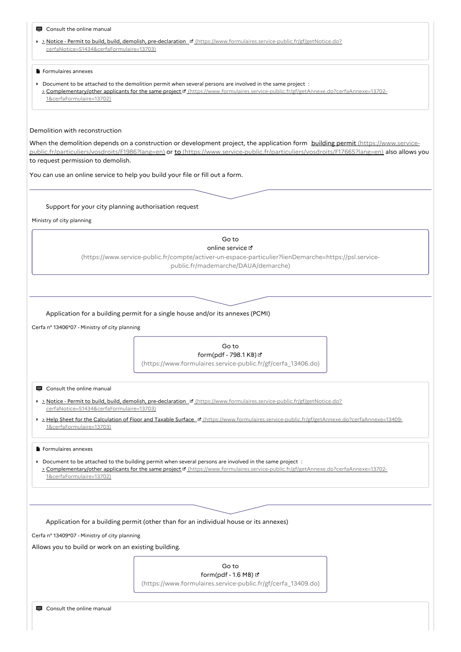| Consult the online manual                            |                                                                                                                                                                                                                                                    |  |
|------------------------------------------------------|----------------------------------------------------------------------------------------------------------------------------------------------------------------------------------------------------------------------------------------------------|--|
|                                                      | > > Notice - Permit to build, build, demolish, pre-declaration ¤ (https://www.formulaires.service-public.fr/gf/getNotice.do?                                                                                                                       |  |
| cerfaNotice=51434&cerfaFormulaire=13703)             |                                                                                                                                                                                                                                                    |  |
|                                                      |                                                                                                                                                                                                                                                    |  |
| Formulaires annexes                                  |                                                                                                                                                                                                                                                    |  |
|                                                      | ▶ Document to be attached to the demolition permit when several persons are involved in the same project :                                                                                                                                         |  |
|                                                      | > Complementary/other applicants for the same project ¤ (https://www.formulaires.service-public.fr/gf/getAnnexe.do?cerfaAnnexe=13702-                                                                                                              |  |
| 1&cerfaFormulaire=13702)                             |                                                                                                                                                                                                                                                    |  |
|                                                      |                                                                                                                                                                                                                                                    |  |
|                                                      |                                                                                                                                                                                                                                                    |  |
| Demolition with reconstruction                       |                                                                                                                                                                                                                                                    |  |
|                                                      | When the demolition depends on a construction or development project, the application form building permit (https://www.service-                                                                                                                   |  |
|                                                      | public.fr/particuliers/vosdroits/F1986?lang=en) or to (https://www.service-public.fr/particuliers/vosdroits/F17665?lang=en) also allows you                                                                                                        |  |
| to request permission to demolish.                   |                                                                                                                                                                                                                                                    |  |
|                                                      |                                                                                                                                                                                                                                                    |  |
|                                                      | You can use an online service to help you build your file or fill out a form.                                                                                                                                                                      |  |
|                                                      |                                                                                                                                                                                                                                                    |  |
|                                                      |                                                                                                                                                                                                                                                    |  |
| Support for your city planning authorisation request |                                                                                                                                                                                                                                                    |  |
| Ministry of city planning                            |                                                                                                                                                                                                                                                    |  |
|                                                      |                                                                                                                                                                                                                                                    |  |
|                                                      | Go to                                                                                                                                                                                                                                              |  |
|                                                      | online service L'                                                                                                                                                                                                                                  |  |
|                                                      | (https://www.service-public.fr/compte/activer-un-espace-particulier?lienDemarche=https://psl.service-                                                                                                                                              |  |
|                                                      | public.fr/mademarche/DAUA/demarche)                                                                                                                                                                                                                |  |
|                                                      |                                                                                                                                                                                                                                                    |  |
|                                                      |                                                                                                                                                                                                                                                    |  |
|                                                      |                                                                                                                                                                                                                                                    |  |
|                                                      |                                                                                                                                                                                                                                                    |  |
|                                                      | Application for a building permit for a single house and/or its annexes (PCMI)                                                                                                                                                                     |  |
| Cerfa nº 13406*07 - Ministry of city planning        |                                                                                                                                                                                                                                                    |  |
|                                                      |                                                                                                                                                                                                                                                    |  |
|                                                      | Go to                                                                                                                                                                                                                                              |  |
|                                                      | form(pdf - 798.1 KB) &                                                                                                                                                                                                                             |  |
|                                                      | (https://www.formulaires.service-public.fr/gf/cerfa_13406.do)                                                                                                                                                                                      |  |
|                                                      |                                                                                                                                                                                                                                                    |  |
| $\blacksquare$ Consult the online manual             |                                                                                                                                                                                                                                                    |  |
|                                                      | > > Notice - Permit to build, build, demolish, pre-declaration E (https://www.formulaires.service-public.fr/gf/getNotice.do?                                                                                                                       |  |
| cerfaNotice=51434&cerfaFormulaire=13703)             |                                                                                                                                                                                                                                                    |  |
|                                                      | >>>>>>>> Help Sheet for the Calculation of Floor and Taxable Surface E (https://www.formulaires.service-public.fr/gf/getAnnexe.do?cerfaAnnexe=13409-                                                                                               |  |
| 1&cerfaFormulaire=13703)                             |                                                                                                                                                                                                                                                    |  |
|                                                      |                                                                                                                                                                                                                                                    |  |
| Formulaires annexes                                  |                                                                                                                                                                                                                                                    |  |
|                                                      |                                                                                                                                                                                                                                                    |  |
|                                                      | ▶ Document to be attached to the building permit when several persons are involved in the same project :<br>> Complementary/other applicants for the same project of (https://www.formulaires.service-public.fr/gf/getAnnexe.do?cerfaAnnexe=13702- |  |
| 1&cerfaFormulaire=13702)                             |                                                                                                                                                                                                                                                    |  |
|                                                      |                                                                                                                                                                                                                                                    |  |
|                                                      |                                                                                                                                                                                                                                                    |  |
|                                                      |                                                                                                                                                                                                                                                    |  |
|                                                      |                                                                                                                                                                                                                                                    |  |
|                                                      | Application for a building permit (other than for an individual house or its annexes)                                                                                                                                                              |  |
| Cerfa nº 13409*07 - Ministry of city planning        |                                                                                                                                                                                                                                                    |  |
| Allows you to build or work on an existing building. |                                                                                                                                                                                                                                                    |  |
|                                                      |                                                                                                                                                                                                                                                    |  |
|                                                      | Go to                                                                                                                                                                                                                                              |  |
|                                                      | form(pdf - 1.6 MB) &                                                                                                                                                                                                                               |  |
|                                                      | (https://www.formulaires.service-public.fr/gf/cerfa_13409.do)                                                                                                                                                                                      |  |
|                                                      |                                                                                                                                                                                                                                                    |  |
|                                                      |                                                                                                                                                                                                                                                    |  |
| ■ Consult the online manual                          |                                                                                                                                                                                                                                                    |  |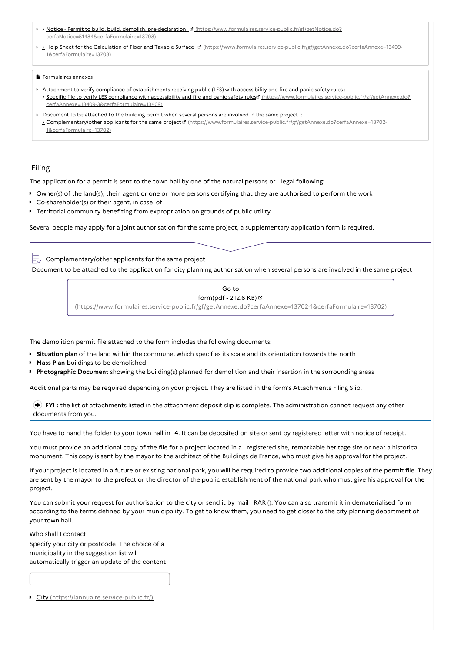- > Notice Permit to build, build, demolish, pre-declaration <sup>of</sup> [\(https://www.formulaires.service-public.fr/gf/getNotice.do?](https://www.formulaires.service-public.fr/gf/getNotice.do?cerfaNotice=51434&cerfaFormulaire=13703) cerfaNotice=51434&cerfaFormulaire=13703)
- $\bullet$ > Help Sheet for the Calculation of Floor and Taxable Surface ¤ [\(https://www.formulaires.service-public.fr/gf/getAnnexe.do?cerfaAnnexe=13409-](https://www.formulaires.service-public.fr/gf/getAnnexe.do?cerfaAnnexe=13409-1&cerfaFormulaire=13703) 1&cerfaFormulaire=13703)

#### **Formulaires annexes**

- Attachment to verify compliance of establishments receiving public (LES) with accessibility and fire and panic safety rules : Specific file to verify LES compliance with accessibility and fire and panic safety rules [\(https://www.formulaires.service-public.fr/gf/getAnnexe.do?](https://www.formulaires.service-public.fr/gf/getAnnexe.do?cerfaAnnexe=13409-3&cerfaFormulaire=13409) cerfaAnnexe=13409-3&cerfaFormulaire=13409)
- Document to be attached to the building permit when several persons are involved in the same project : > Complementary/other applicants for the same project [Methos://www.formulaires.service-public.fr/gf/getAnnexe.do?cerfaAnnexe=13702-1&cerfaFormulaire=13702)

## Filing

The application for a permit is sent to the town hall by one of the natural persons or legal following:

- Owner(s) of the land(s), their agent or one or more persons certifying that they are authorised to perform the work
- Co-shareholder(s) or their agent, in case of
- Territorial community benefiting from expropriation on grounds of public utility

Several people may apply for a joint authorisation for the same project, a supplementary application form is required.

Complementary/other applicants for the same project

Document to be attached to the application for city planning authorisation when several persons are involved in the same project

| Go to                                                                                                 |
|-------------------------------------------------------------------------------------------------------|
| form(pdf - 212.6 KB) ப                                                                                |
| (https://www.formulaires.service-public.fr/gf/getAnnexe.do?cerfaAnnexe=13702-1&cerfaFormulaire=13702) |

The demolition permit file attached to the form includes the following documents:

**Situation plan** of the land within the commune, which specifies its scale and its orientation towards the north

- $\bullet$ **Mass Plan** buildings to be demolished
- **Photographic Document** showing the building(s) planned for demolition and their insertion in the surrounding areas

Additional parts may be required depending on your project. They are listed in the form's Attachments Filing Slip.

 **FYI :** the list of attachments listed in the attachment deposit slip is complete. The administration cannot request any other documents from you.

You have to hand the folder to your town hall in **4**. It can be deposited on site or sent by registered letter with notice of receipt.

You must provide an additional copy of the file for a project located in a registered site, remarkable heritage site or near a historical monument. This copy is sent by the mayor to the architect of the Buildings de France, who must give his approval for the project.

If your project is located in a future or existing national park, you will be required to provide two additional copies of the permit file. They are sent by the mayor to the prefect or the director of the public establishment of the national park who must give his approval for the project.

You can submit your request for authorisation to the city or send it by mail RAR (). You can also transmit it in dematerialised form according to the terms defined by your municipality. To get to know them, you need to get closer to the city planning department of your town hall.

Who shall I contact

Specify your city or postcode The choice of a municipality in the suggestion list will automatically trigger an update of the content

City [\(https://lannuaire.service-public.fr/\)](https://lannuaire.service-public.fr/)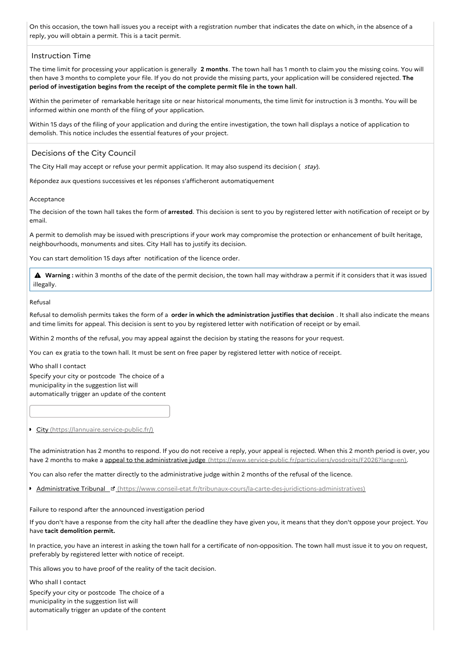On this occasion, the town hall issues you a receipt with a registration number that indicates the date on which, in the absence of a reply, you will obtain a permit. This is a tacit permit.

## Instruction Time

The time limit for processing your application is generally **2 months**. The town hall has 1 month to claim you the missing coins. You will then have 3 months to complete your file. If you do not provide the missing parts, your application will be considered rejected. **The period of investigation begins from the receipt of the complete permit file in the town hall**.

Within the perimeter of remarkable heritage site or near historical monuments, the time limit for instruction is 3 months. You will be informed within one month of the filing of your application.

Within 15 days of the filing of your application and during the entire investigation, the town hall displays a notice of application to demolish. This notice includes the essential features of your project.

# Decisions of the City Council

The City Hall may accept or refuse your permit application. It may also suspend its decision ( stay).

Répondez aux questions successives et les réponses s'afficheront automatiquement

## Acceptance

The decision of the town hall takes the form of **arrested**. This decision is sent to you by registered letter with notification of receipt or by email.

A permit to demolish may be issued with prescriptions if your work may compromise the protection or enhancement of built heritage, neighbourhoods, monuments and sites. City Hall has to justify its decision.

You can start demolition 15 days after notification of the licence order.

 **Warning :** within <sup>3</sup> months of the date of the permit decision, the town hall may withdraw <sup>a</sup> permit if it considers that it was issued illegally.

## Refusal

Refusal to demolish permits takes the form of a **order in which the administration justifies that decision** . It shall also indicate the means and time limits for appeal. This decision is sent to you by registered letter with notification of receipt or by email.

Within 2 months of the refusal, you may appeal against the decision by stating the reasons for your request.

You can ex gratia to the town hall. It must be sent on free paper by registered letter with notice of receipt.

Who shall I contact

Specify your city or postcode The choice of a municipality in the suggestion list will automatically trigger an update of the content

City [\(https://lannuaire.service-public.fr/\)](https://lannuaire.service-public.fr/)

The administration has 2 months to respond. If you do not receive a reply, your appeal is rejected. When this 2 month period is over, you have 2 months to make a appeal to the administrative judge [\(https://www.service-public.fr/particuliers/vosdroits/F2026?lang=en\)](https://www.service-public.fr/particuliers/vosdroits/F2026?lang=en).

You can also refer the matter directly to the administrative judge within 2 months of the refusal of the licence.

Administrative Tribunal & [\(https://www.conseil-etat.fr/tribunaux-cours/la-carte-des-juridictions-administratives\)](https://www.conseil-etat.fr/tribunaux-cours/la-carte-des-juridictions-administratives)

Failure to respond after the announced investigation period

If you don't have a response from the city hall after the deadline they have given you, it means that they don't oppose your project. You have **tacit demolition permit.**

In practice, you have an interest in asking the town hall for a certificate of non-opposition. The town hall must issue it to you on request, preferably by registered letter with notice of receipt.

This allows you to have proof of the reality of the tacit decision.

Who shall I contact Specify your city or postcode The choice of a municipality in the suggestion list will automatically trigger an update of the content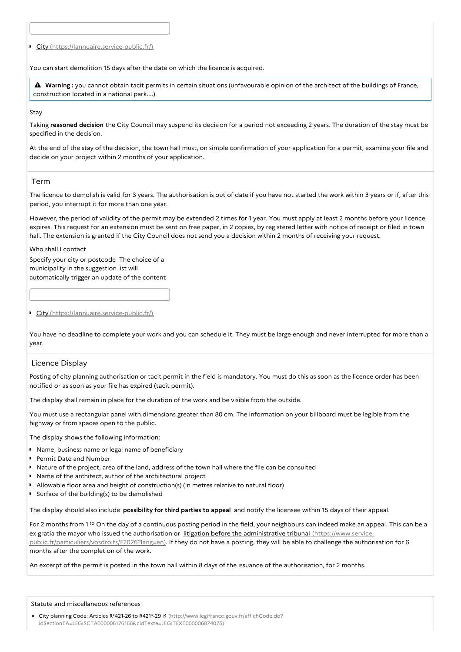City [\(https://lannuaire.service-public.fr/\)](https://lannuaire.service-public.fr/)

You can start demolition 15 days after the date on which the licence is acquired.

 **Warning :** you cannot obtain tacit permits in certain situations (unfavourable opinion of the architect of the buildings of France, construction located in a national park....).

Stay

Taking **reasoned decision** the City Council may suspend its decision for a period not exceeding 2 years. The duration of the stay must be specified in the decision.

At the end of the stay of the decision, the town hall must, on simple confirmation of your application for a permit, examine your file and decide on your project within 2 months of your application.

## Term

The licence to demolish is valid for 3 years. The authorisation is out of date if you have not started the work within 3 years or if, after this period, you interrupt it for more than one year.

However, the period of validity of the permit may be extended 2 times for 1 year. You must apply at least 2 months before your licence expires. This request for an extension must be sent on free paper, in 2 copies, by registered letter with notice of receipt or filed in town hall. The extension is granted if the City Council does not send you a decision within 2 months of receiving your request.

Who shall I contact

Specify your city or postcode The choice of a municipality in the suggestion list will automatically trigger an update of the content

### City [\(https://lannuaire.service-public.fr/\)](https://lannuaire.service-public.fr/)

You have no deadline to complete your work and you can schedule it. They must be large enough and never interrupted for more than a year.

## Licence Display

Posting of city planning authorisation or tacit permit in the field is mandatory. You must do this as soon as the licence order has been notified or as soon as your file has expired (tacit permit).

The display shall remain in place for the duration of the work and be visible from the outside.

You must use a rectangular panel with dimensions greater than 80 cm. The information on your billboard must be legible from the highway or from spaces open to the public.

The display shows the following information:

- **Name, business name or legal name of beneficiary**
- Permit Date and Number
- Nature of the project, area of the land, address of the town hall where the file can be consulted
- Name of the architect, author of the architectural project
- Allowable floor area and height of construction(s) (in metres relative to natural floor)
- $\triangleright$  Surface of the building(s) to be demolished

The display should also include **possibility for third parties to appeal** and notify the licensee within 15 days of their appeal.

For 2 months from 1<sup>to</sup> On the day of a continuous posting period in the field, your neighbours can indeed make an appeal. This can be a ex gratia the mayor who issued the authorisation or litigation before the administrative tribunal (https://www.service[public.fr/particuliers/vosdroits/F2026?lang=en\).](https://www.service-public.fr/particuliers/vosdroits/F2026?lang=en) If they do not have a posting, they will be able to challenge the authorisation for 6 months after the completion of the work.

An excerpt of the permit is posted in the town hall within 8 days of the issuance of the authorisation, for 2 months.

#### Statute and miscellaneous references

■ City planning Code: Articles R\*421-26 to R421\*-29 **¤** (http://www.legifrance.gouv.fr/affichCode.do? [idSectionTA=LEGISCTA000006176166&cidTexte=LEGITEXT000006074075\)](http://www.legifrance.gouv.fr/affichCode.do?idSectionTA=LEGISCTA000006176166&cidTexte=LEGITEXT000006074075)